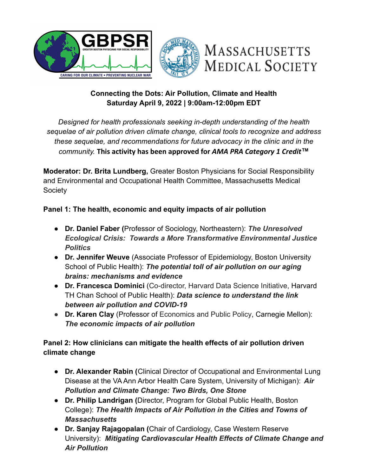



# **MASSACHUSETTS MEDICAL SOCIETY**

## **Connecting the Dots: Air Pollution, Climate and Health Saturday April 9, 2022 | 9:00am-12:00pm EDT**

*Designed for health professionals seeking in-depth understanding of the health sequelae of air pollution driven climate change, clinical tools to recognize and address these sequelae, and recommendations for future advocacy in the clinic and in the community.* **This activity has been approved for** *AMA PRA Category 1 Credit***™**

**Moderator: Dr. Brita Lundberg,** Greater Boston Physicians for Social Responsibility and Environmental and Occupational Health Committee, Massachusetts Medical **Society** 

### **Panel 1: The health, economic and equity impacts of air pollution**

- **● Dr. Daniel Faber (**Professor of Sociology, Northeastern): *The Unresolved Ecological Crisis: Towards a More Transformative Environmental Justice Politics*
- **Dr. Jennifer Weuve** (Associate Professor of Epidemiology, Boston University School of Public Health): *The potential toll of air pollution on our aging brains: mechanisms and evidence*
- **Dr. Francesca Dominici** (Co-director, Harvard Data Science Initiative, Harvard TH Chan School of Public Health): *Data science to understand the link between air pollution and COVID-19*
- *●* **Dr. Karen Clay** (Professor of Economics and Public Policy, Carnegie Mellon): *The economic impacts of air pollution*

### **Panel 2: How clinicians can mitigate the health effects of air pollution driven climate change**

- **● Dr. Alexander Rabin (**Clinical Director of Occupational and Environmental Lung Disease at the VA Ann Arbor Health Care System, University of Michigan): *Air Pollution and Climate Change: Two Birds, One Stone*
- **Dr. Philip Landrigan (**Director, Program for Global Public Health, Boston College): *The Health Impacts of Air Pollution in the Cities and Towns of Massachusetts*
- **Dr. Sanjay Rajagopalan (**Chair of Cardiology, Case Western Reserve University): *Mitigating Cardiovascular Health Effects of Climate Change and Air Pollution*